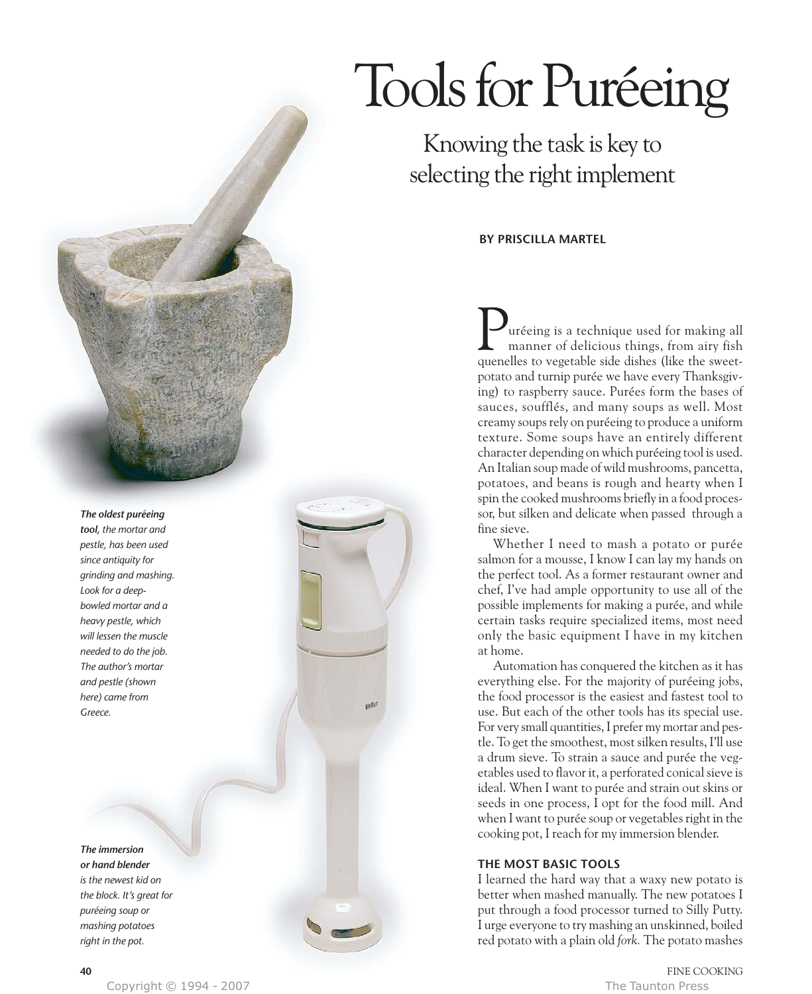# Tools for Puréeing

Knowing the task is key to selecting the right implement

**BY PRISCILLA MARTEL**

uréeing is a technique used for making all manner of delicious things, from airy fish **P**uréeing is a technique used for making all manner of delicious things, from airy fish quenelles to vegetable side dishes (like the sweetpotato and turnip purée we have every Thanksgiving) to raspberry sauce. Purées form the bases of sauces, soufflés, and many soups as well. Most creamy soups rely on puréeing to produce a uniform texture. Some soups have an entirely different character depending on which puréeing tool is used. An Italian soup made of wild mushrooms, pancetta, potatoes, and beans is rough and hearty when I spin the cooked mushrooms briefly in a food processor, but silken and delicate when passed through a fine sieve.

Whether I need to mash a potato or purée salmon for a mousse, I know I can lay my hands on the perfect tool. As a former restaurant owner and chef, I've had ample opportunity to use all of the possible implements for making a purée, and while certain tasks require specialized items, most need only the basic equipment I have in my kitchen at home.

Automation has conquered the kitchen as it has everything else. For the majority of puréeing jobs, the food processor is the easiest and fastest tool to use. But each of the other tools has its special use. For very small quantities, I prefer my mortar and pestle. To get the smoothest, most silken results, I'll use a drum sieve. To strain a sauce and purée the vegetables used to flavor it, a perforated conical sieve is ideal. When I want to purée and strain out skins or seeds in one process, I opt for the food mill. And when I want to purée soup or vegetables right in the cooking pot, I reach for my immersion blender.

# **THE MOST BASIC TOOLS**

I learned the hard way that a waxy new potato is better when mashed manually. The new potatoes I put through a food processor turned to Silly Putty. I urge everyone to try mashing an unskinned, boiled red potato with a plain old *fork.* The potato mashes

*The immersion or hand blender is the newest kid on the block. It's great for puréeing soup or mashing potatoes*

*right in the pot.*

# *The oldest puréeing*

*tool, the mortar and pestle, has been used since antiquity for grinding and mashing. Look for a deepbowled mortar and a heavy pestle, which will lessen the muscle needed to do the job. The author's mortar and pestle (shown here) came from Greece.*

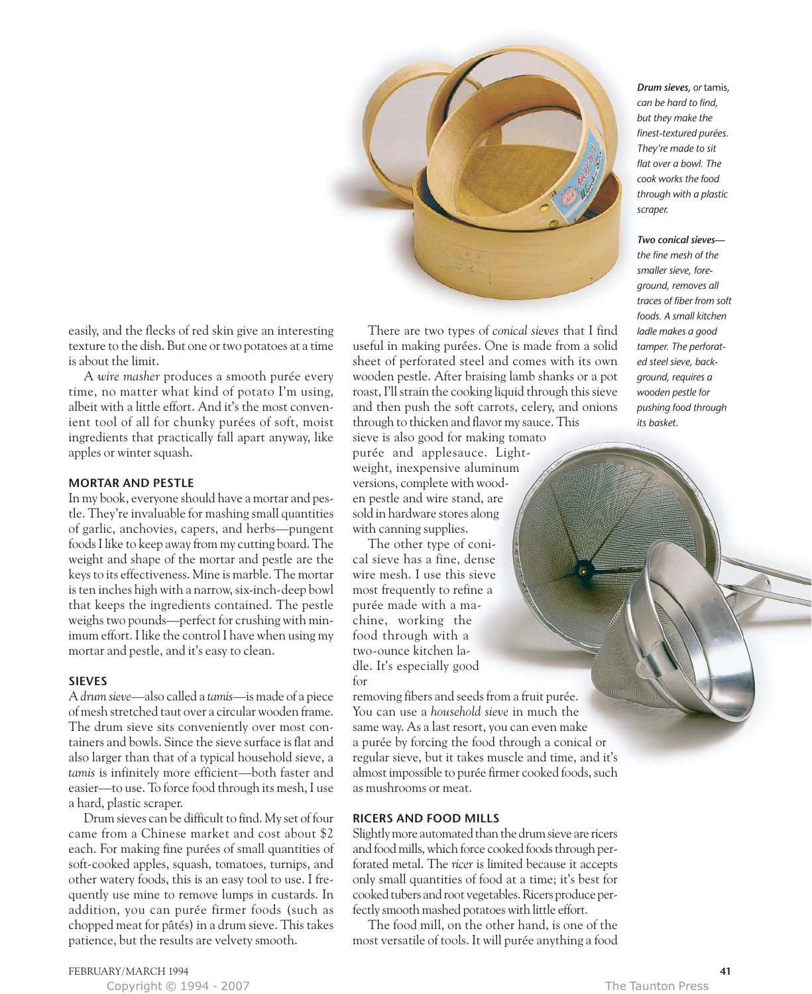

easily, and the flecks of red skin give an interesting texture to the dish. But one or two potatoes at a time is about the limit.

A *wire masher* produces a smooth purée every time, no matter what kind of potato I'm using, albeit with a little effort. And it's the most convenient tool of all for chunky purées of soft, moist ingredients that practically fall apart anyway, like apples or winter squash.

## **MORTAR AND PESTLE**

In my book, everyone should have a mortar and pestle. They're invaluable for mashing small quantities of garlic, anchovies, capers, and herbs—pungent foods I like to keep away from my cutting board. The weight and shape of the mortar and pestle are the keys to its effectiveness. Mine is marble. The mortar is ten inches high with a narrow, six-inch-deep bowl that keeps the ingredients contained. The pestle weighs two pounds—perfect for crushing with minimum effort. I like the control I have when using my mortar and pestle, and it's easy to clean.

### **SIEVES**

A *drum sieve*—also called a *tamis*—is made of a piece of mesh stretched taut over a circular wooden frame. The drum sieve sits conveniently over most containers and bowls. Since the sieve surface is flat and also larger than that of a typical household sieve, a *tamis* is infinitely more efficient—both faster and easier—to use. To force food through its mesh, I use a hard, plastic scraper.

Drum sieves can be difficult to find. My set of four came from a Chinese market and cost about \$2 each. For making fine purées of small quantities of soft-cooked apples, squash, tomatoes, turnips, and other watery foods, this is an easy tool to use. I frequently use mine to remove lumps in custards. In addition, you can purée firmer foods (such as chopped meat for pâtés) in a drum sieve. This takes patience, but the results are velvety smooth.

There are two types of *conical sieves* that I find useful in making purées. One is made from a solid sheet of perforated steel and comes with its own wooden pestle. After braising lamb shanks or a pot roast, I'll strain the cooking liquid through this sieve and then push the soft carrots, celery, and onions through to thicken and flavor my sauce. This sieve is also good for making tomato purée and applesauce. Light-

weight, inexpensive aluminum versions, complete with wooden pestle and wire stand, are sold in hardware stores along with canning supplies.

The other type of conical sieve has a fine, dense wire mesh. I use this sieve most frequently to refine a purée made with a machine, working the food through with a two-ounce kitchen ladle. It's especially good for

removing fibers and seeds from a fruit purée. You can use a *household sieve* in much the same way. As a last resort, you can even make a purée by forcing the food through a conical or regular sieve, but it takes muscle and time, and it's almost impossible to purée firmer cooked foods, such as mushrooms or meat.

### **RICERS AND FOOD MILLS**

Slightly more automated than the drum sieve are ricers and food mills, which force cooked foods through perforated metal. The *ricer* is limited because it accepts only small quantities of food at a time; it's best for cooked tubers and root vegetables. Ricers produce perfectly smooth mashed potatoes with little effort.

The food mill, on the other hand, is one of the most versatile of tools. It will purée anything a food *Drum sieves, or* tamis*, can be hard to find, but they make the finest-textured purées. They're made to sit flat over a bowl. The cook works the food through with a plastic scraper.*

*Two conical sieves the fine mesh of the smaller sieve, foreground, removes all traces of fiber from soft foods. A small kitchen ladle makes a good tamper. The perforated steel sieve, background, requires a wooden pestle for pushing food through its basket.*